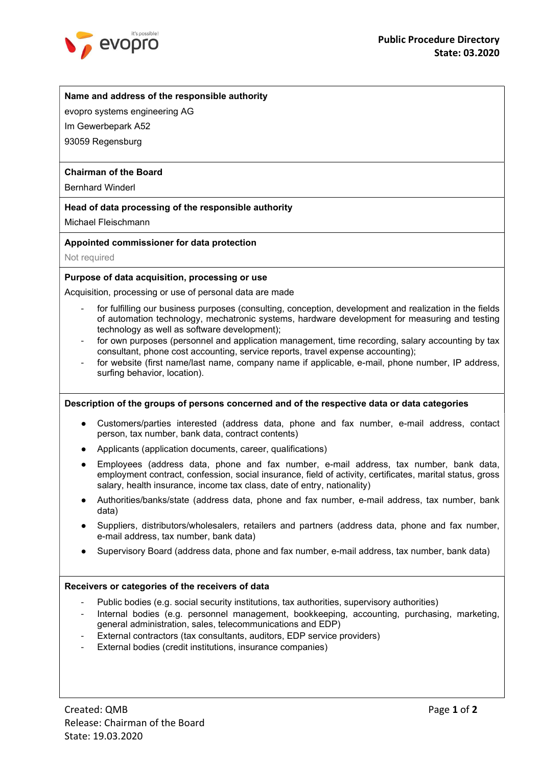

# Name and address of the responsible authority

evopro systems engineering AG

Im Gewerbepark A52

93059 Regensburg

# Chairman of the Board

Bernhard Winderl

# Head of data processing of the responsible authority

Michael Fleischmann

#### Appointed commissioner for data protection

Not required

# Purpose of data acquisition, processing or use

Acquisition, processing or use of personal data are made

- for fulfilling our business purposes (consulting, conception, development and realization in the fields of automation technology, mechatronic systems, hardware development for measuring and testing technology as well as software development);
- for own purposes (personnel and application management, time recording, salary accounting by tax consultant, phone cost accounting, service reports, travel expense accounting);
- for website (first name/last name, company name if applicable, e-mail, phone number, IP address, surfing behavior, location).

#### Description of the groups of persons concerned and of the respective data or data categories

- Customers/parties interested (address data, phone and fax number, e-mail address, contact person, tax number, bank data, contract contents)
- Applicants (application documents, career, qualifications)
- Employees (address data, phone and fax number, e-mail address, tax number, bank data, employment contract, confession, social insurance, field of activity, certificates, marital status, gross salary, health insurance, income tax class, date of entry, nationality)
- Authorities/banks/state (address data, phone and fax number, e-mail address, tax number, bank data)
- Suppliers, distributors/wholesalers, retailers and partners (address data, phone and fax number, e-mail address, tax number, bank data)
- Supervisory Board (address data, phone and fax number, e-mail address, tax number, bank data)

#### Receivers or categories of the receivers of data

- Public bodies (e.g. social security institutions, tax authorities, supervisory authorities)
- Internal bodies (e.g. personnel management, bookkeeping, accounting, purchasing, marketing, general administration, sales, telecommunications and EDP)
- External contractors (tax consultants, auditors, EDP service providers)
- External bodies (credit institutions, insurance companies)